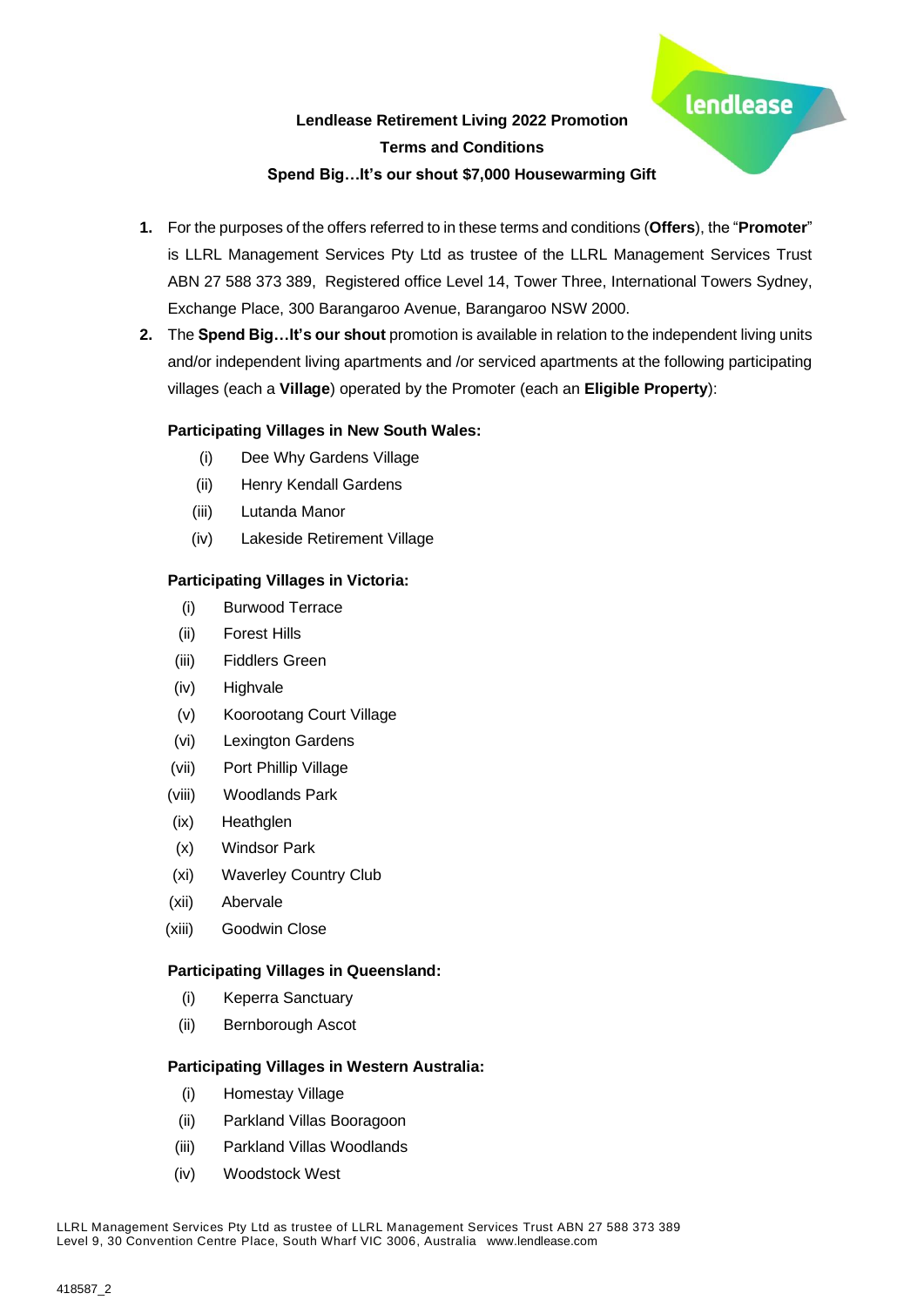lendlease



**2.** The **Spend Big…It's our shout** promotion is available in relation to the independent living units and/or independent living apartments and /or serviced apartments at the following participating villages (each a **Village**) operated by the Promoter (each an **Eligible Property**):

# **Participating Villages in New South Wales:**

- (i) Dee Why Gardens Village
- (ii) Henry Kendall Gardens
- (iii) Lutanda Manor
- (iv) Lakeside Retirement Village

### **Participating Villages in Victoria:**

- (i) Burwood Terrace
- (ii) Forest Hills
- (iii) Fiddlers Green
- (iv) Highvale
- (v) Koorootang Court Village
- (vi) Lexington Gardens
- (vii) Port Phillip Village
- (viii) Woodlands Park
- (ix) Heathglen
- (x) Windsor Park
- (xi) Waverley Country Club
- (xii) Abervale
- (xiii) Goodwin Close

### **Participating Villages in Queensland:**

- (i) Keperra Sanctuary
- (ii) Bernborough Ascot

### **Participating Villages in Western Australia:**

- (i) Homestay Village
- (ii) Parkland Villas Booragoon
- (iii) Parkland Villas Woodlands
- (iv) Woodstock West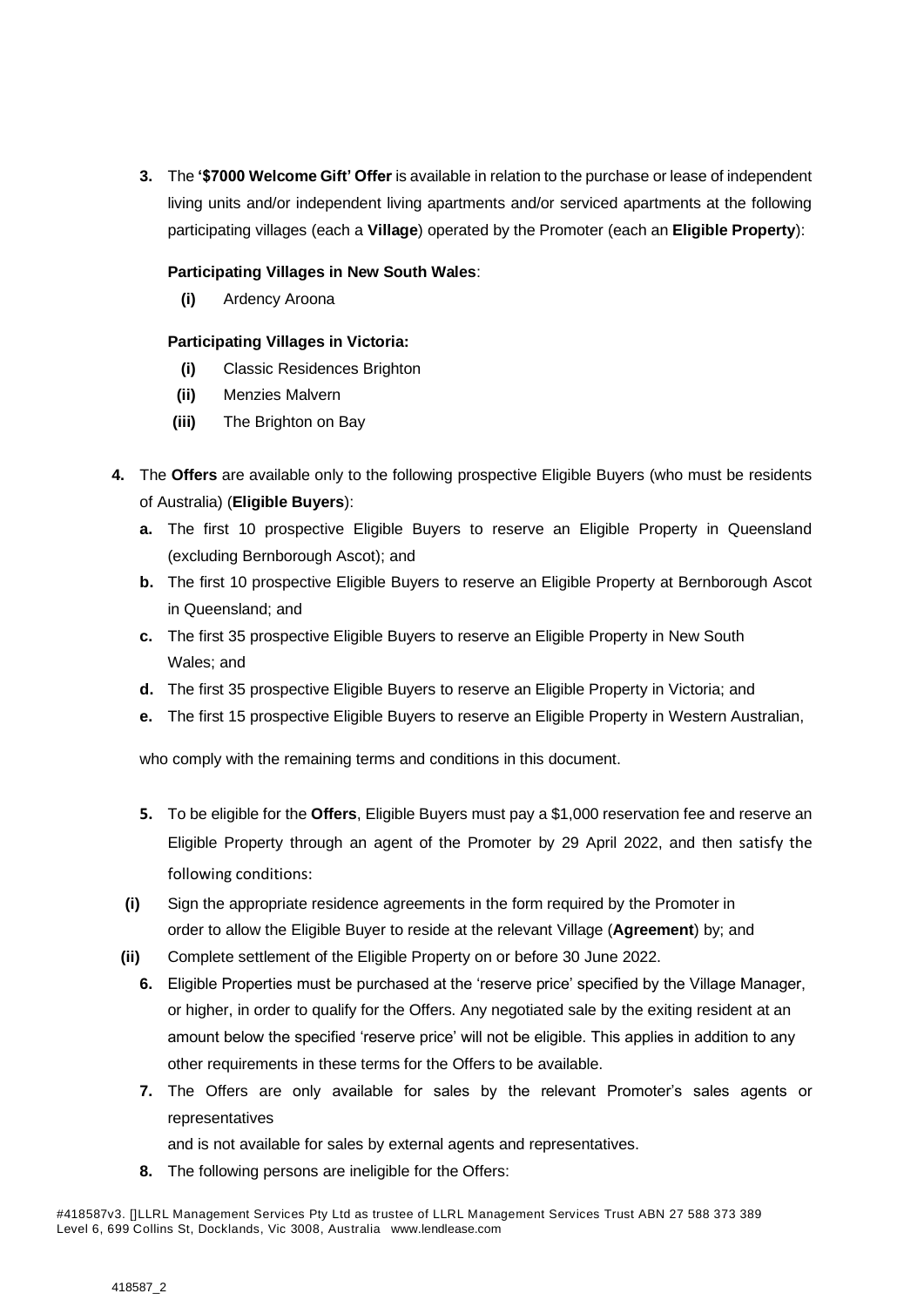**3.** The **'\$7000 Welcome Gift' Offer** is available in relation to the purchase or lease of independent living units and/or independent living apartments and/or serviced apartments at the following participating villages (each a **Village**) operated by the Promoter (each an **Eligible Property**):

# **Participating Villages in New South Wales**:

**(i)** Ardency Aroona

# **Participating Villages in Victoria:**

- **(i)** Classic Residences Brighton
- **(ii)** Menzies Malvern
- **(iii)** The Brighton on Bay
- **4.** The **Offers** are available only to the following prospective Eligible Buyers (who must be residents of Australia) (**Eligible Buyers**):
	- **a.** The first 10 prospective Eligible Buyers to reserve an Eligible Property in Queensland (excluding Bernborough Ascot); and
	- **b.** The first 10 prospective Eligible Buyers to reserve an Eligible Property at Bernborough Ascot in Queensland; and
	- **c.** The first 35 prospective Eligible Buyers to reserve an Eligible Property in New South Wales; and
	- **d.** The first 35 prospective Eligible Buyers to reserve an Eligible Property in Victoria; and
	- **e.** The first 15 prospective Eligible Buyers to reserve an Eligible Property in Western Australian,

who comply with the remaining terms and conditions in this document.

- **5.** To be eligible for the **Offers**, Eligible Buyers must pay a \$1,000 reservation fee and reserve an Eligible Property through an agent of the Promoter by 29 April 2022, and then satisfy the following conditions:
- **(i)** Sign the appropriate residence agreements in the form required by the Promoter in order to allow the Eligible Buyer to reside at the relevant Village (**Agreement**) by; and
- **(ii)** Complete settlement of the Eligible Property on or before 30 June 2022.
	- **6.** Eligible Properties must be purchased at the 'reserve price' specified by the Village Manager, or higher, in order to qualify for the Offers. Any negotiated sale by the exiting resident at an amount below the specified 'reserve price' will not be eligible. This applies in addition to any other requirements in these terms for the Offers to be available.
	- **7.** The Offers are only available for sales by the relevant Promoter's sales agents or representatives

and is not available for sales by external agents and representatives.

**8.** The following persons are ineligible for the Offers:

<sup>#418587</sup>v3. []LLRL Management Services Pty Ltd as trustee of LLRL Management Services Trust ABN 27 588 373 389 Level 6, 699 Collins St, Docklands, Vic 3008, Australia [www.lendlease.com](http://www.lendlease.com/)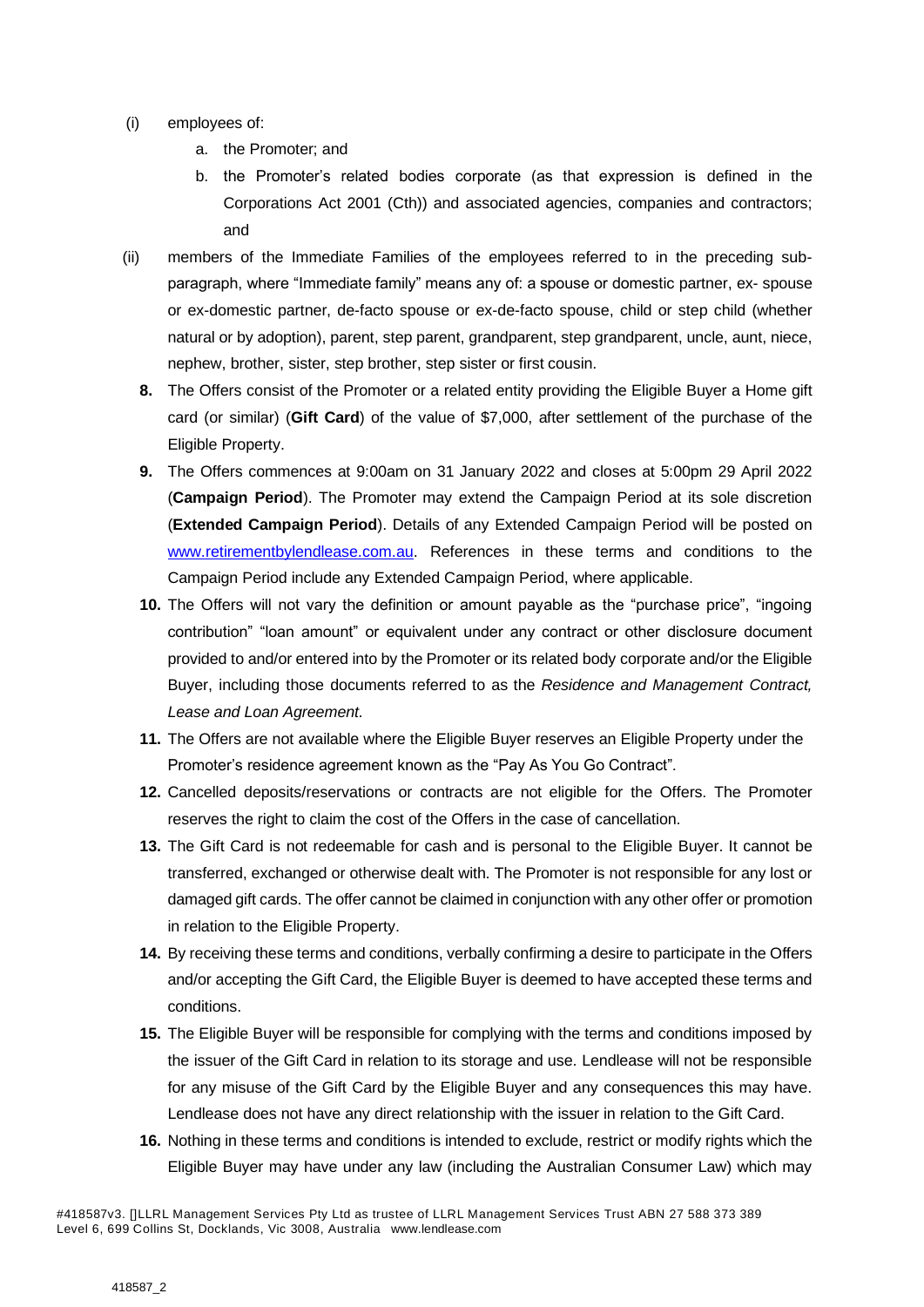- (i) employees of:
	- a. the Promoter; and
	- b. the Promoter's related bodies corporate (as that expression is defined in the Corporations Act 2001 (Cth)) and associated agencies, companies and contractors; and
- (ii) members of the Immediate Families of the employees referred to in the preceding subparagraph, where "Immediate family" means any of: a spouse or domestic partner, ex- spouse or ex-domestic partner, de-facto spouse or ex-de-facto spouse, child or step child (whether natural or by adoption), parent, step parent, grandparent, step grandparent, uncle, aunt, niece, nephew, brother, sister, step brother, step sister or first cousin.
	- **8.** The Offers consist of the Promoter or a related entity providing the Eligible Buyer a Home gift card (or similar) (**Gift Card**) of the value of \$7,000, after settlement of the purchase of the Eligible Property.
	- **9.** The Offers commences at 9:00am on 31 January 2022 and closes at 5:00pm 29 April 2022 (**Campaign Period**). The Promoter may extend the Campaign Period at its sole discretion (**Extended Campaign Period**). Details of any Extended Campaign Period will be posted on [www.retirementbylendlease.com.au.](http://www.retirementbylendlease.com.au/) References in these terms and conditions to the Campaign Period include any Extended Campaign Period, where applicable.
	- **10.** The Offers will not vary the definition or amount payable as the "purchase price", "ingoing contribution" "loan amount" or equivalent under any contract or other disclosure document provided to and/or entered into by the Promoter or its related body corporate and/or the Eligible Buyer, including those documents referred to as the *Residence and Management Contract, Lease and Loan Agreement.*
	- **11.** The Offers are not available where the Eligible Buyer reserves an Eligible Property under the Promoter's residence agreement known as the "Pay As You Go Contract".
	- **12.** Cancelled deposits/reservations or contracts are not eligible for the Offers. The Promoter reserves the right to claim the cost of the Offers in the case of cancellation.
	- **13.** The Gift Card is not redeemable for cash and is personal to the Eligible Buyer. It cannot be transferred, exchanged or otherwise dealt with. The Promoter is not responsible for any lost or damaged gift cards. The offer cannot be claimed in conjunction with any other offer or promotion in relation to the Eligible Property.
	- **14.** By receiving these terms and conditions, verbally confirming a desire to participate in the Offers and/or accepting the Gift Card, the Eligible Buyer is deemed to have accepted these terms and conditions.
	- **15.** The Eligible Buyer will be responsible for complying with the terms and conditions imposed by the issuer of the Gift Card in relation to its storage and use. Lendlease will not be responsible for any misuse of the Gift Card by the Eligible Buyer and any consequences this may have. Lendlease does not have any direct relationship with the issuer in relation to the Gift Card.
	- **16.** Nothing in these terms and conditions is intended to exclude, restrict or modify rights which the Eligible Buyer may have under any law (including the Australian Consumer Law) which may

<sup>#418587</sup>v3. []LLRL Management Services Pty Ltd as trustee of LLRL Management Services Trust ABN 27 588 373 389 Level 6, 699 Collins St, Docklands, Vic 3008, Australia [www.lendlease.com](http://www.lendlease.com/)